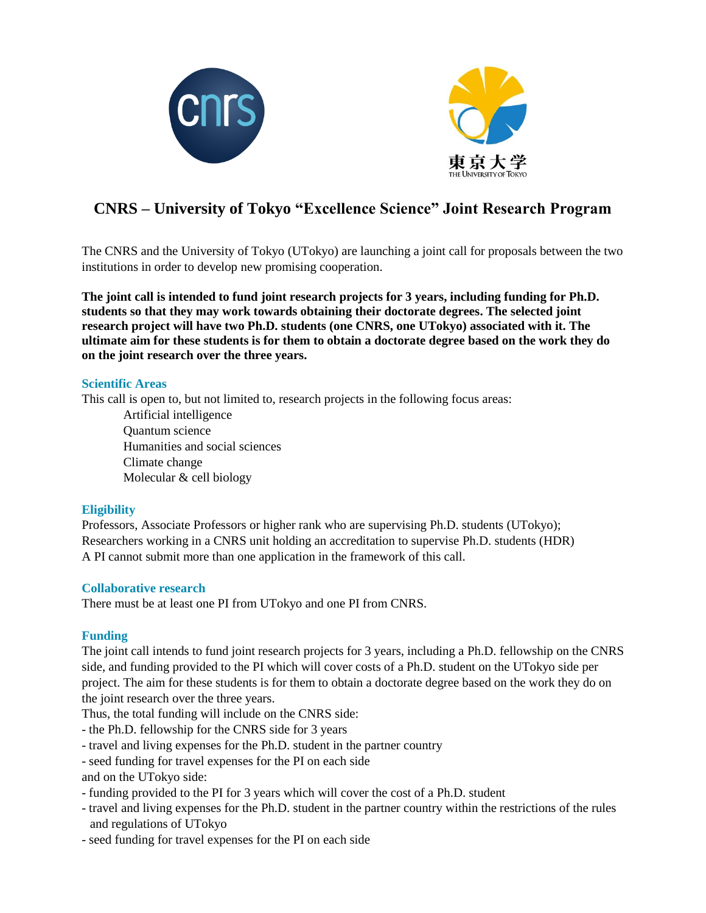



# **CNRS – University of Tokyo "Excellence Science" Joint Research Program**

The CNRS and the University of Tokyo (UTokyo) are launching a joint call for proposals between the two institutions in order to develop new promising cooperation.

**The joint call is intended to fund joint research projects for 3 years, including funding for Ph.D. students so that they may work towards obtaining their doctorate degrees. The selected joint research project will have two Ph.D. students (one CNRS, one UTokyo) associated with it. The ultimate aim for these students is for them to obtain a doctorate degree based on the work they do on the joint research over the three years.**

#### **Scientific Areas**

This call is open to, but not limited to, research projects in the following focus areas:

Artificial intelligence Quantum science Humanities and social sciences Climate change Molecular & cell biology

#### **Eligibility**

Professors, Associate Professors or higher rank who are supervising Ph.D. students (UTokyo); Researchers working in a CNRS unit holding an accreditation to supervise Ph.D. students (HDR) A PI cannot submit more than one application in the framework of this call.

#### **Collaborative research**

There must be at least one PI from UTokyo and one PI from CNRS.

#### **Funding**

The joint call intends to fund joint research projects for 3 years, including a Ph.D. fellowship on the CNRS side, and funding provided to the PI which will cover costs of a Ph.D. student on the UTokyo side per project. The aim for these students is for them to obtain a doctorate degree based on the work they do on the joint research over the three years.

Thus, the total funding will include on the CNRS side:

- the Ph.D. fellowship for the CNRS side for 3 years
- travel and living expenses for the Ph.D. student in the partner country
- seed funding for travel expenses for the PI on each side
- and on the UTokyo side:
- funding provided to the PI for 3 years which will cover the cost of a Ph.D. student
- travel and living expenses for the Ph.D. student in the partner country within the restrictions of the rules and regulations of UTokyo
- seed funding for travel expenses for the PI on each side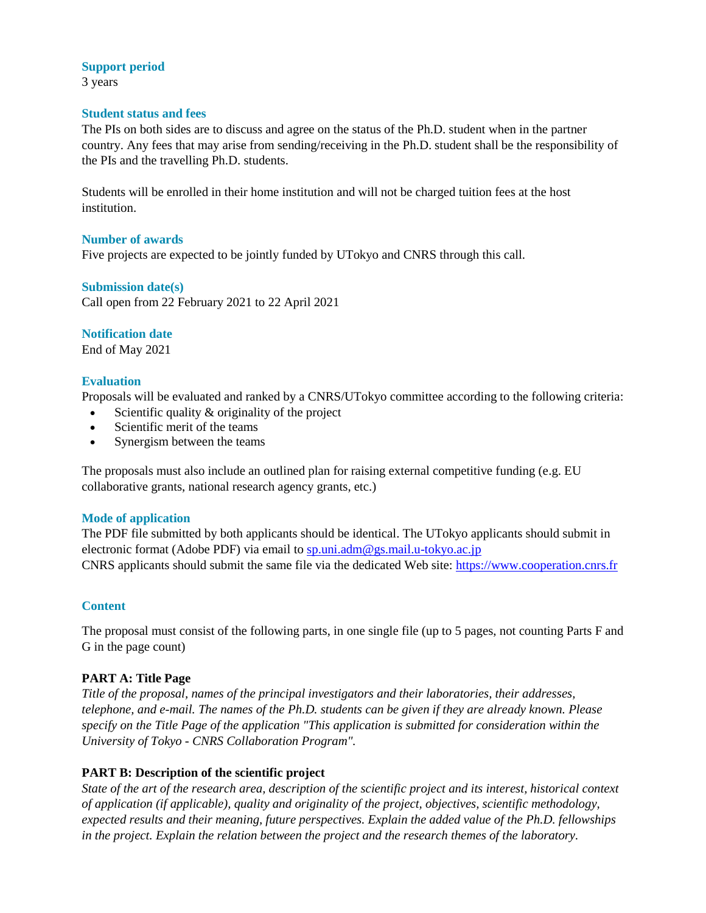# **Support period**

3 years

#### **Student status and fees**

The PIs on both sides are to discuss and agree on the status of the Ph.D. student when in the partner country. Any fees that may arise from sending/receiving in the Ph.D. student shall be the responsibility of the PIs and the travelling Ph.D. students.

Students will be enrolled in their home institution and will not be charged tuition fees at the host institution.

#### **Number of awards**

Five projects are expected to be jointly funded by UTokyo and CNRS through this call.

# **Submission date(s)**

Call open from 22 February 2021 to 22 April 2021

# **Notification date**

End of May 2021

# **Evaluation**

Proposals will be evaluated and ranked by a CNRS/UTokyo committee according to the following criteria:

- Scientific quality & originality of the project
- Scientific merit of the teams
- Synergism between the teams

The proposals must also include an outlined plan for raising external competitive funding (e.g. EU collaborative grants, national research agency grants, etc.)

#### **Mode of application**

The PDF file submitted by both applicants should be identical. The UTokyo applicants should submit in electronic format (Adobe PDF) via email to [sp.uni.adm@gs.mail.u-tokyo.ac.jp](mailto:sp.uni.adm@gs.mail.u-tokyo.ac.jp) CNRS applicants should submit the same file via the dedicated Web site: https://www.cooperation.cnrs.fr

#### **Content**

The proposal must consist of the following parts, in one single file (up to 5 pages, not counting Parts F and G in the page count)

# **PART A: Title Page**

*Title of the proposal, names of the principal investigators and their laboratories, their addresses, telephone, and e-mail. The names of the Ph.D. students can be given if they are already known. Please specify on the Title Page of the application "This application is submitted for consideration within the University of Tokyo - CNRS Collaboration Program".*

# **PART B: Description of the scientific project**

*State of the art of the research area, description of the scientific project and its interest, historical context of application (if applicable), quality and originality of the project, objectives, scientific methodology, expected results and their meaning, future perspectives. Explain the added value of the Ph.D. fellowships in the project. Explain the relation between the project and the research themes of the laboratory.*